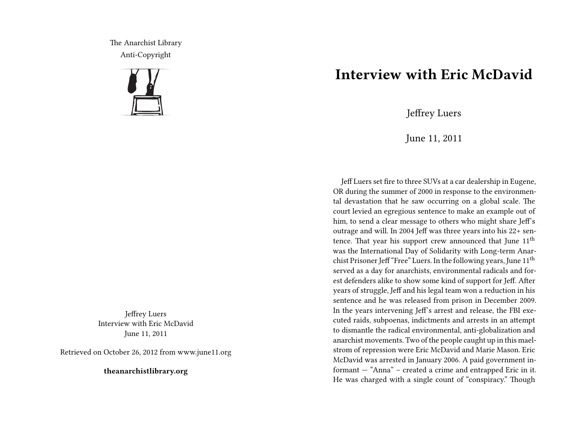The Anarchist Library Anti-Copyright



Jeffrey Luers Interview with Eric McDavid June 11, 2011

Retrieved on October 26, 2012 from www.june11.org

**theanarchistlibrary.org**

## **Interview with Eric McDavid**

Jeffrey Luers

June 11, 2011

Jeff Luers set fire to three SUVs at a car dealership in Eugene, OR during the summer of 2000 in response to the environmental devastation that he saw occurring on a global scale. The court levied an egregious sentence to make an example out of him, to send a clear message to others who might share Jeff's outrage and will. In 2004 Jeff was three years into his 22+ sentence. That year his support crew announced that June  $11<sup>th</sup>$ was the International Day of Solidarity with Long-term Anarchist Prisoner Jeff "Free" Luers. In the following years, June 11<sup>th</sup> served as a day for anarchists, environmental radicals and forest defenders alike to show some kind of support for Jeff. After years of struggle, Jeff and his legal team won a reduction in his sentence and he was released from prison in December 2009. In the years intervening Jeff's arrest and release, the FBI executed raids, subpoenas, indictments and arrests in an attempt to dismantle the radical environmental, anti-globalization and anarchist movements. Two of the people caught up in this maelstrom of repression were Eric McDavid and Marie Mason. Eric McDavid was arrested in January 2006. A paid government informant — "Anna" – created a crime and entrapped Eric in it. He was charged with a single count of "conspiracy." Though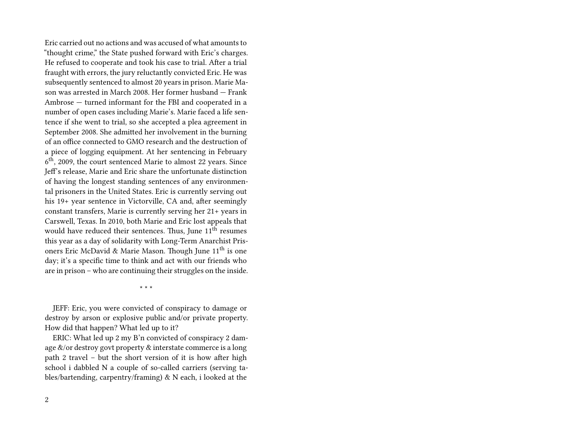Eric carried out no actions and was accused of what amounts to "thought crime," the State pushed forward with Eric's charges. He refused to cooperate and took his case to trial. After a trial fraught with errors, the jury reluctantly convicted Eric. He was subsequently sentenced to almost 20 years in prison. Marie Mason was arrested in March 2008. Her former husband — Frank Ambrose — turned informant for the FBI and cooperated in a number of open cases including Marie's. Marie faced a life sentence if she went to trial, so she accepted a plea agreement in September 2008. She admitted her involvement in the burning of an office connected to GMO research and the destruction of a piece of logging equipment. At her sentencing in February 6<sup>th</sup>, 2009, the court sentenced Marie to almost 22 years. Since Jeff's release, Marie and Eric share the unfortunate distinction of having the longest standing sentences of any environmental prisoners in the United States. Eric is currently serving out his 19+ year sentence in Victorville, CA and, after seemingly constant transfers, Marie is currently serving her 21+ years in Carswell, Texas. In 2010, both Marie and Eric lost appeals that would have reduced their sentences. Thus, June 11<sup>th</sup> resumes this year as a day of solidarity with Long-Term Anarchist Prisoners Eric McDavid & Marie Mason. Though June  $11<sup>th</sup>$  is one day; it's a specific time to think and act with our friends who are in prison – who are continuing their struggles on the inside.

\* \* \*

JEFF: Eric, you were convicted of conspiracy to damage or destroy by arson or explosive public and/or private property. How did that happen? What led up to it?

ERIC: What led up 2 my B'n convicted of conspiracy 2 damage &/or destroy govt property & interstate commerce is a long path 2 travel – but the short version of it is how after high school i dabbled N a couple of so-called carriers (serving tables/bartending, carpentry/framing) & N each, i looked at the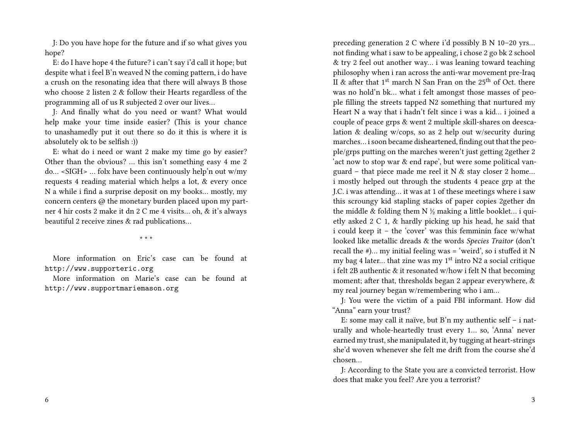J: Do you have hope for the future and if so what gives you hope?

E: do I have hope 4 the future? i can't say i'd call it hope; but despite what i feel B'n weaved N the coming pattern, i do have a crush on the resonating idea that there will always B those who choose 2 listen 2 & follow their Hearts regardless of the programming all of us R subjected 2 over our lives…

J: And finally what do you need or want? What would help make your time inside easier? (This is your chance to unashamedly put it out there so do it this is where it is absolutely ok to be selfish :))

E: what do i need or want 2 make my time go by easier? Other than the obvious? … this isn't something easy 4 me 2 do… <SIGH> … folx have been continuously help'n out w/my requests 4 reading material which helps a lot, & every once N a while i find a surprise deposit on my books… mostly, my concern centers @ the monetary burden placed upon my partner 4 hir costs 2 make it dn 2 C me 4 visits… oh, & it's always beautiful 2 receive zines & rad publications…

\* \* \*

More information on Eric's case can be found at http://www.supporteric.org

More information on Marie's case can be found at http://www.supportmariemason.org

preceding generation 2 C where i'd possibly B N 10–20 yrs… not finding what i saw to be appealing, i chose 2 go bk 2 school & try 2 feel out another way… i was leaning toward teaching philosophy when i ran across the anti-war movement pre-Iraq II & after that  $1<sup>st</sup>$  march N San Fran on the  $25<sup>th</sup>$  of Oct. there was no hold'n bk… what i felt amongst those masses of people filling the streets tapped N2 something that nurtured my Heart N a way that i hadn't felt since i was a kid… i joined a couple of peace grps & went 2 multiple skill-shares on deescalation & dealing w/cops, so as 2 help out w/security during marches… i soon became disheartened, finding out that the people/grps putting on the marches weren't just getting 2gether 2 'act now to stop war & end rape', but were some political vanguard – that piece made me reel it N  $\&$  stay closer 2 home... i mostly helped out through the students 4 peace grp at the J.C. i was attending… it was at 1 of these meetings where i saw this scroungy kid stapling stacks of paper copies 2gether dn the middle & folding them N  $\frac{1}{2}$  making a little booklet... i quietly asked 2 C 1, & hardly picking up his head, he said that i could keep it – the 'cover' was this femminin face w/what looked like metallic dreads & the words *Species Traitor* (don't recall the #)… my initial feeling was = 'weird', so i stuffed it N my bag 4 later... that zine was my  $1<sup>st</sup>$  intro N2 a social critique i felt 2B authentic & it resonated w/how i felt N that becoming moment; after that, thresholds began 2 appear everywhere, & my real journey began w/remembering who i am…

J: You were the victim of a paid FBI informant. How did "Anna" earn your trust?

E: some may call it naïve, but B'n my authentic self – i naturally and whole-heartedly trust every 1… so, 'Anna' never earned my trust, she manipulated it, by tugging at heart-strings she'd woven whenever she felt me drift from the course she'd chosen…

J: According to the State you are a convicted terrorist. How does that make you feel? Are you a terrorist?